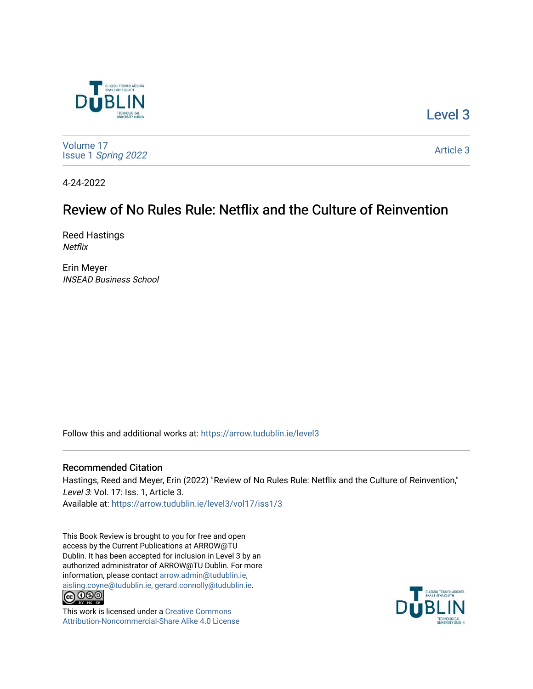

[Level 3](https://arrow.tudublin.ie/level3) 

[Volume 17](https://arrow.tudublin.ie/level3/vol17) Issue 1 [Spring 2022](https://arrow.tudublin.ie/level3/vol17/iss1) 

[Article 3](https://arrow.tudublin.ie/level3/vol17/iss1/3) 

4-24-2022

# Review of No Rules Rule: Netflix and the Culture of Reinvention

Reed Hastings **Netflix** 

Erin Meyer INSEAD Business School

Follow this and additional works at: [https://arrow.tudublin.ie/level3](https://arrow.tudublin.ie/level3?utm_source=arrow.tudublin.ie%2Flevel3%2Fvol17%2Fiss1%2F3&utm_medium=PDF&utm_campaign=PDFCoverPages) 

### Recommended Citation

Hastings, Reed and Meyer, Erin (2022) "Review of No Rules Rule: Netflix and the Culture of Reinvention," Level 3: Vol. 17: Iss. 1, Article 3. Available at: [https://arrow.tudublin.ie/level3/vol17/iss1/3](https://arrow.tudublin.ie/level3/vol17/iss1/3?utm_source=arrow.tudublin.ie%2Flevel3%2Fvol17%2Fiss1%2F3&utm_medium=PDF&utm_campaign=PDFCoverPages) 

This Book Review is brought to you for free and open access by the Current Publications at ARROW@TU Dublin. It has been accepted for inclusion in Level 3 by an authorized administrator of ARROW@TU Dublin. For more information, please contact [arrow.admin@tudublin.ie,](mailto:arrow.admin@tudublin.ie,%20aisling.coyne@tudublin.ie,%20gerard.connolly@tudublin.ie)  [aisling.coyne@tudublin.ie, gerard.connolly@tudublin.ie](mailto:arrow.admin@tudublin.ie,%20aisling.coyne@tudublin.ie,%20gerard.connolly@tudublin.ie).<br> $\bigodot_{\text{IV-IV-III-0}} \bigodot_{\text{IV-IV-III-0}} \bigodot_{\text{IV-IV-III-0}}$ 



This work is licensed under a [Creative Commons](http://creativecommons.org/licenses/by-nc-sa/4.0/) [Attribution-Noncommercial-Share Alike 4.0 License](http://creativecommons.org/licenses/by-nc-sa/4.0/)

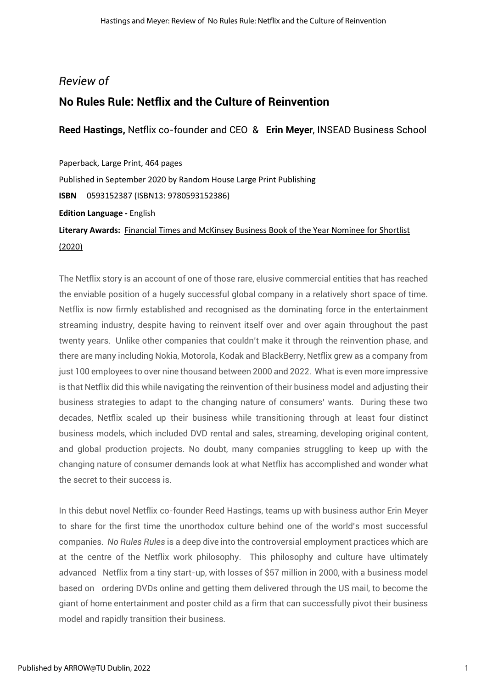### *Review of*

## **No Rules Rule: Netflix and the Culture of Reinvention**

**Reed Hastings,** Netflix co-founder and CEO & **Erin Meyer**, INSEAD Business School

Paperback, Large Print, 464 pages Published in September 2020 by Random House Large Print Publishing **ISBN** 0593152387 (ISBN13: 9780593152386) **Edition Language -** English **Literary Awards:** [Financial Times and McKinsey Business Book of the Year Nominee for Shortlist](https://www.goodreads.com/award/show/3947-financial-times-and-mckinsey-business-book-of-the-year)  [\(2020\)](https://www.goodreads.com/award/show/3947-financial-times-and-mckinsey-business-book-of-the-year)

The Netflix story is an account of one of those rare, elusive commercial entities that has reached the enviable position of a hugely successful global company in a relatively short space of time. Netflix is now firmly established and recognised as the dominating force in the entertainment streaming industry, despite having to reinvent itself over and over again throughout the past twenty years. Unlike other companies that couldn't make it through the reinvention phase, and there are many including Nokia, Motorola, Kodak and BlackBerry, Netflix grew as a company from just 100 employees to over nine thousand between 2000 and 2022. What is even more impressive is that Netflix did this while navigating the reinvention of their business model and adjusting their business strategies to adapt to the changing nature of consumers' wants. During these two decades, Netflix scaled up their business while transitioning through at least four distinct business models, which included DVD rental and sales, streaming, developing original content, and global production projects. No doubt, many companies struggling to keep up with the changing nature of consumer demands look at what Netflix has accomplished and wonder what the secret to their success is.

In this debut novel Netflix co-founder Reed Hastings, teams up with business author Erin Meyer to share for the first time the unorthodox culture behind one of the world's most successful companies. *No Rules Rules* is a deep dive into the controversial employment practices which are at the centre of the Netflix work philosophy. This philosophy and culture have ultimately advanced Netflix from a tiny start-up, with losses of \$57 million in 2000, with a business model based on ordering DVDs online and getting them delivered through the US mail, to become the giant of home entertainment and poster child as a firm that can successfully pivot their business model and rapidly transition their business.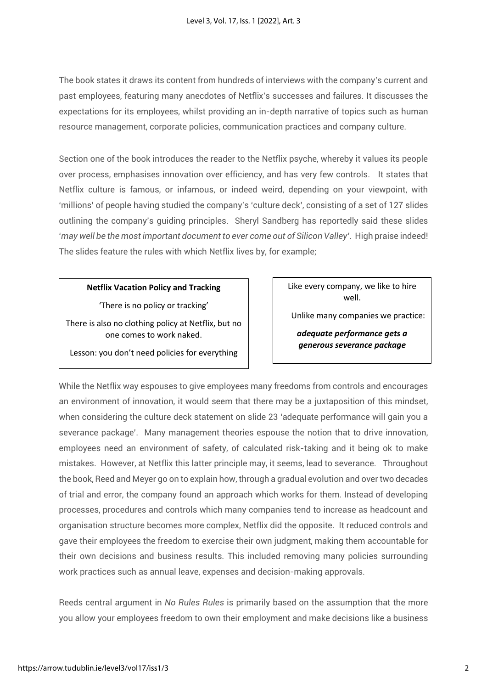The book states it draws its content from hundreds of interviews with the company's current and past employees, featuring many anecdotes of Netflix's successes and failures. It discusses the expectations for its employees, whilst providing an in-depth narrative of topics such as human resource management, corporate policies, communication practices and company culture.

Section one of the book introduces the reader to the Netflix psyche, whereby it values its people over process, emphasises innovation over efficiency, and has very few controls. It states that Netflix culture is famous, or infamous, or indeed weird, depending on your viewpoint, with 'millions' of people having studied the company's 'culture deck', consisting of a set of 127 slides outlining the company's guiding principles. Sheryl Sandberg has reportedly said these slides '*may well be the most important document to ever come out of Silicon Valley'*. High praise indeed! The slides feature the rules with which Netflix lives by, for example;

### **Netflix Vacation Policy and Tracking**

'There is no policy or tracking'

There is also no clothing policy at Netflix, but no one comes to work naked.

Lesson: you don't need policies for everything

Like every company, we like to hire well.

Unlike many companies we practice:

*adequate performance gets a generous severance package*

While the Netflix way espouses to give employees many freedoms from controls and encourages an environment of innovation, it would seem that there may be a juxtaposition of this mindset, when considering the culture deck statement on slide 23 'adequate performance will gain you a severance package'. Many management theories espouse the notion that to drive innovation, employees need an environment of safety, of calculated risk-taking and it being ok to make mistakes. However, at Netflix this latter principle may, it seems, lead to severance. Throughout the book, Reed and Meyer go on to explain how, through a gradual evolution and over two decades of trial and error, the company found an approach which works for them. Instead of developing processes, procedures and controls which many companies tend to increase as headcount and organisation structure becomes more complex, Netflix did the opposite. It reduced controls and gave their employees the freedom to exercise their own judgment, making them accountable for their own decisions and business results. This included removing many policies surrounding work practices such as annual leave, expenses and decision-making approvals.

Reeds central argument in *No Rules Rules* is primarily based on the assumption that the more you allow your employees freedom to own their employment and make decisions like a business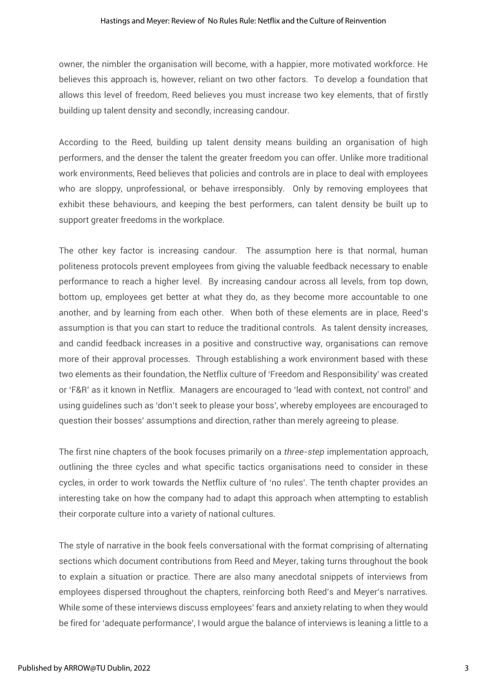owner, the nimbler the organisation will become, with a happier, more motivated workforce. He believes this approach is, however, reliant on two other factors. To develop a foundation that allows this level of freedom, Reed believes you must increase two key elements, that of firstly building up talent density and secondly, increasing candour.

According to the Reed, building up talent density means building an organisation of high performers, and the denser the talent the greater freedom you can offer. Unlike more traditional work environments, Reed believes that policies and controls are in place to deal with employees who are sloppy, unprofessional, or behave irresponsibly. Only by removing employees that exhibit these behaviours, and keeping the best performers, can talent density be built up to support greater freedoms in the workplace.

The other key factor is increasing candour. The assumption here is that normal, human politeness protocols prevent employees from giving the valuable feedback necessary to enable performance to reach a higher level. By increasing candour across all levels, from top down, bottom up, employees get better at what they do, as they become more accountable to one another, and by learning from each other. When both of these elements are in place, Reed's assumption is that you can start to reduce the traditional controls. As talent density increases, and candid feedback increases in a positive and constructive way, organisations can remove more of their approval processes. Through establishing a work environment based with these two elements as their foundation, the Netflix culture of 'Freedom and Responsibility' was created or 'F&R' as it known in Netflix. Managers are encouraged to 'lead with context, not control' and using guidelines such as 'don't seek to please your boss', whereby employees are encouraged to question their bosses' assumptions and direction, rather than merely agreeing to please.

The first nine chapters of the book focuses primarily on a *three-step* implementation approach, outlining the three cycles and what specific tactics organisations need to consider in these cycles, in order to work towards the Netflix culture of 'no rules'. The tenth chapter provides an interesting take on how the company had to adapt this approach when attempting to establish their corporate culture into a variety of national cultures.

The style of narrative in the book feels conversational with the format comprising of alternating sections which document contributions from Reed and Meyer, taking turns throughout the book to explain a situation or practice. There are also many anecdotal snippets of interviews from employees dispersed throughout the chapters, reinforcing both Reed's and Meyer's narratives. While some of these interviews discuss employees' fears and anxiety relating to when they would be fired for 'adequate performance', I would argue the balance of interviews is leaning a little to a